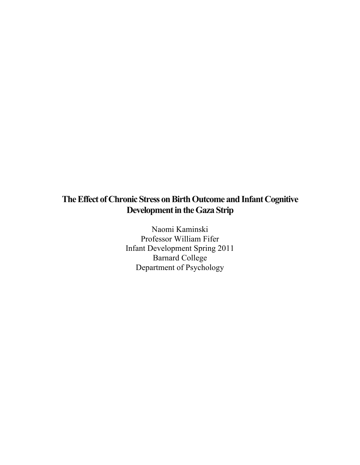# **The Effect of Chronic Stress on Birth Outcome and Infant Cognitive Development in the Gaza Strip**

Naomi Kaminski Professor William Fifer Infant Development Spring 2011 Barnard College Department of Psychology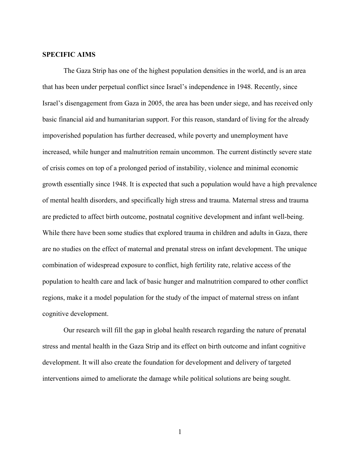# **SPECIFIC AIMS**

The Gaza Strip has one of the highest population densities in the world, and is an area that has been under perpetual conflict since Israel's independence in 1948. Recently, since Israel's disengagement from Gaza in 2005, the area has been under siege, and has received only basic financial aid and humanitarian support. For this reason, standard of living for the already impoverished population has further decreased, while poverty and unemployment have increased, while hunger and malnutrition remain uncommon. The current distinctly severe state of crisis comes on top of a prolonged period of instability, violence and minimal economic growth essentially since 1948. It is expected that such a population would have a high prevalence of mental health disorders, and specifically high stress and trauma. Maternal stress and trauma are predicted to affect birth outcome, postnatal cognitive development and infant well-being. While there have been some studies that explored trauma in children and adults in Gaza, there are no studies on the effect of maternal and prenatal stress on infant development. The unique combination of widespread exposure to conflict, high fertility rate, relative access of the population to health care and lack of basic hunger and malnutrition compared to other conflict regions, make it a model population for the study of the impact of maternal stress on infant cognitive development.

Our research will fill the gap in global health research regarding the nature of prenatal stress and mental health in the Gaza Strip and its effect on birth outcome and infant cognitive development. It will also create the foundation for development and delivery of targeted interventions aimed to ameliorate the damage while political solutions are being sought.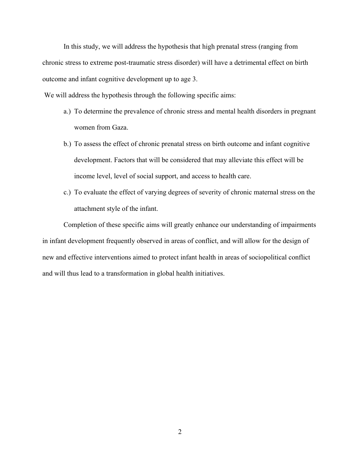In this study, we will address the hypothesis that high prenatal stress (ranging from chronic stress to extreme post-traumatic stress disorder) will have a detrimental effect on birth outcome and infant cognitive development up to age 3.

We will address the hypothesis through the following specific aims:

- a.) To determine the prevalence of chronic stress and mental health disorders in pregnant women from Gaza.
- b.) To assess the effect of chronic prenatal stress on birth outcome and infant cognitive development. Factors that will be considered that may alleviate this effect will be income level, level of social support, and access to health care.
- c.) To evaluate the effect of varying degrees of severity of chronic maternal stress on the attachment style of the infant.

Completion of these specific aims will greatly enhance our understanding of impairments in infant development frequently observed in areas of conflict, and will allow for the design of new and effective interventions aimed to protect infant health in areas of sociopolitical conflict and will thus lead to a transformation in global health initiatives.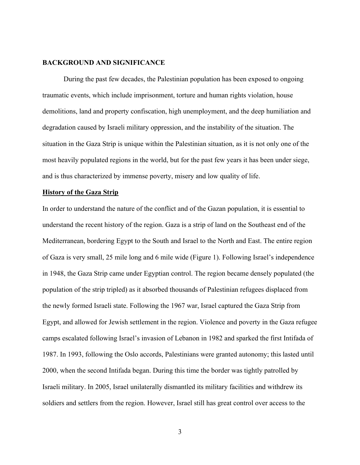# **BACKGROUND AND SIGNIFICANCE**

During the past few decades, the Palestinian population has been exposed to ongoing traumatic events, which include imprisonment, torture and human rights violation, house demolitions, land and property confiscation, high unemployment, and the deep humiliation and degradation caused by Israeli military oppression, and the instability of the situation. The situation in the Gaza Strip is unique within the Palestinian situation, as it is not only one of the most heavily populated regions in the world, but for the past few years it has been under siege, and is thus characterized by immense poverty, misery and low quality of life.

## **History of the Gaza Strip**

In order to understand the nature of the conflict and of the Gazan population, it is essential to understand the recent history of the region. Gaza is a strip of land on the Southeast end of the Mediterranean, bordering Egypt to the South and Israel to the North and East. The entire region of Gaza is very small, 25 mile long and 6 mile wide (Figure 1). Following Israel's independence in 1948, the Gaza Strip came under Egyptian control. The region became densely populated (the population of the strip tripled) as it absorbed thousands of Palestinian refugees displaced from the newly formed Israeli state. Following the 1967 war, Israel captured the Gaza Strip from Egypt, and allowed for Jewish settlement in the region. Violence and poverty in the Gaza refugee camps escalated following Israel's invasion of Lebanon in 1982 and sparked the first Intifada of 1987. In 1993, following the Oslo accords, Palestinians were granted autonomy; this lasted until 2000, when the second Intifada began. During this time the border was tightly patrolled by Israeli military. In 2005, Israel unilaterally dismantled its military facilities and withdrew its soldiers and settlers from the region. However, Israel still has great control over access to the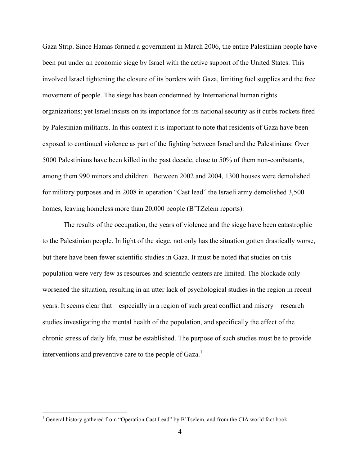Gaza Strip. Since Hamas formed a government in March 2006, the entire Palestinian people have been put under an economic siege by Israel with the active support of the United States. This involved Israel tightening the closure of its borders with Gaza, limiting fuel supplies and the free movement of people. The siege has been condemned by International human rights organizations; yet Israel insists on its importance for its national security as it curbs rockets fired by Palestinian militants. In this context it is important to note that residents of Gaza have been exposed to continued violence as part of the fighting between Israel and the Palestinians: Over 5000 Palestinians have been killed in the past decade, close to 50% of them non-combatants, among them 990 minors and children. Between 2002 and 2004, 1300 houses were demolished for military purposes and in 2008 in operation "Cast lead" the Israeli army demolished 3,500 homes, leaving homeless more than 20,000 people (B'TZelem reports).

The results of the occupation, the years of violence and the siege have been catastrophic to the Palestinian people. In light of the siege, not only has the situation gotten drastically worse, but there have been fewer scientific studies in Gaza. It must be noted that studies on this population were very few as resources and scientific centers are limited. The blockade only worsened the situation, resulting in an utter lack of psychological studies in the region in recent years. It seems clear that—especially in a region of such great conflict and misery—research studies investigating the mental health of the population, and specifically the effect of the chronic stress of daily life, must be established. The purpose of such studies must be to provide interventions and preventive care to the people of Gaza.<sup>1</sup>

 $\frac{1}{1}$ <sup>1</sup> General history gathered from "Operation Cast Lead" by B'Tselem, and from the CIA world fact book.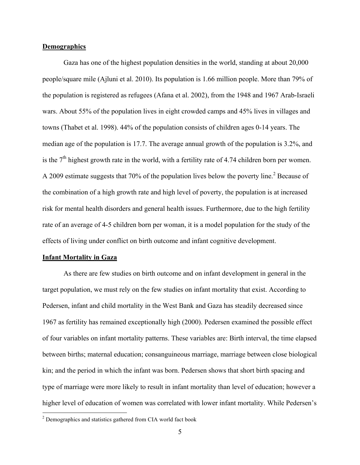# **Demographics**

Gaza has one of the highest population densities in the world, standing at about 20,000 people/square mile (Ajluni et al. 2010). Its population is 1.66 million people. More than 79% of the population is registered as refugees (Afana et al. 2002), from the 1948 and 1967 Arab-Israeli wars. About 55% of the population lives in eight crowded camps and 45% lives in villages and towns (Thabet et al. 1998). 44% of the population consists of children ages 0-14 years. The median age of the population is 17.7. The average annual growth of the population is 3.2%, and is the  $7<sup>th</sup>$  highest growth rate in the world, with a fertility rate of 4.74 children born per women. A 2009 estimate suggests that 70% of the population lives below the poverty line.<sup>2</sup> Because of the combination of a high growth rate and high level of poverty, the population is at increased risk for mental health disorders and general health issues. Furthermore, due to the high fertility rate of an average of 4-5 children born per woman, it is a model population for the study of the effects of living under conflict on birth outcome and infant cognitive development.

#### **Infant Mortality in Gaza**

As there are few studies on birth outcome and on infant development in general in the target population, we must rely on the few studies on infant mortality that exist. According to Pedersen, infant and child mortality in the West Bank and Gaza has steadily decreased since 1967 as fertility has remained exceptionally high (2000). Pedersen examined the possible effect of four variables on infant mortality patterns. These variables are: Birth interval, the time elapsed between births; maternal education; consanguineous marriage, marriage between close biological kin; and the period in which the infant was born. Pedersen shows that short birth spacing and type of marriage were more likely to result in infant mortality than level of education; however a higher level of education of women was correlated with lower infant mortality. While Pedersen's

 $\frac{1}{2}$ <sup>2</sup> Demographics and statistics gathered from CIA world fact book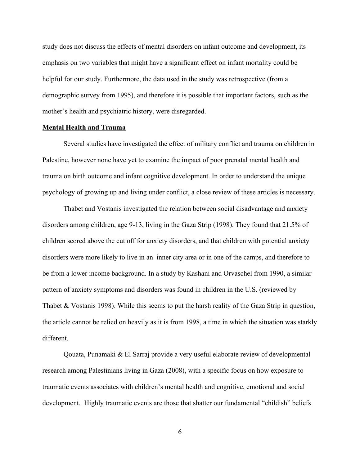study does not discuss the effects of mental disorders on infant outcome and development, its emphasis on two variables that might have a significant effect on infant mortality could be helpful for our study. Furthermore, the data used in the study was retrospective (from a demographic survey from 1995), and therefore it is possible that important factors, such as the mother's health and psychiatric history, were disregarded.

# **Mental Health and Trauma**

Several studies have investigated the effect of military conflict and trauma on children in Palestine, however none have yet to examine the impact of poor prenatal mental health and trauma on birth outcome and infant cognitive development. In order to understand the unique psychology of growing up and living under conflict, a close review of these articles is necessary.

Thabet and Vostanis investigated the relation between social disadvantage and anxiety disorders among children, age 9-13, living in the Gaza Strip (1998). They found that 21.5% of children scored above the cut off for anxiety disorders, and that children with potential anxiety disorders were more likely to live in an inner city area or in one of the camps, and therefore to be from a lower income background. In a study by Kashani and Orvaschel from 1990, a similar pattern of anxiety symptoms and disorders was found in children in the U.S. (reviewed by Thabet & Vostanis 1998). While this seems to put the harsh reality of the Gaza Strip in question, the article cannot be relied on heavily as it is from 1998, a time in which the situation was starkly different.

Qouata, Punamaki & El Sarraj provide a very useful elaborate review of developmental research among Palestinians living in Gaza (2008), with a specific focus on how exposure to traumatic events associates with children's mental health and cognitive, emotional and social development. Highly traumatic events are those that shatter our fundamental "childish" beliefs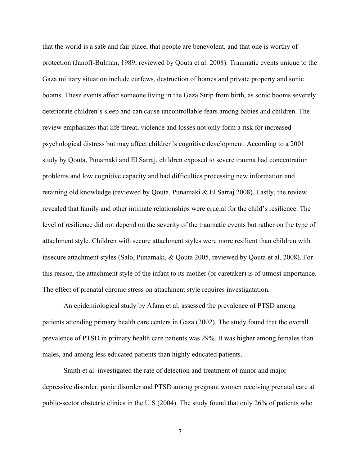that the world is a safe and fair place, that people are benevolent, and that one is worthy of protection (Janoff-Bulman, 1989; reviewed by Qouta et al. 2008). Traumatic events unique to the Gaza military situation include curfews, destruction of homes and private property and sonic booms. These events affect someone living in the Gaza Strip from birth, as sonic booms severely deteriorate children's sleep and can cause uncontrollable fears among babies and children. The review emphasizes that life threat, violence and losses not only form a risk for increased psychological distress but may affect children's cognitive development. According to a 2001 study by Qouta, Punamaki and El Sarraj, children exposed to severe trauma had concentration problems and low cognitive capacity and had difficulties processing new information and retaining old knowledge (reviewed by Qouta, Punamaki & El Sarraj 2008). Lastly, the review revealed that family and other intimate relationships were crucial for the child's resilience. The level of resilience did not depend on the severity of the traumatic events but rather on the type of attachment style. Children with secure attachment styles were more resilient than children with insecure attachment styles (Salo, Punamaki, & Qouta 2005, reviewed by Qouta et al. 2008). For this reason, the attachment style of the infant to its mother (or caretaker) is of utmost importance. The effect of prenatal chronic stress on attachment style requires investigatation.

An epidemiological study by Afana et al. assessed the prevalence of PTSD among patients attending primary health care centers in Gaza (2002). The study found that the overall prevalence of PTSD in primary health care patients was 29%. It was higher among females than males, and among less educated patients than highly educated patients.

Smith et al. investigated the rate of detection and treatment of minor and major depressive disorder, panic disorder and PTSD among pregnant women receiving prenatal care at public-sector obstetric clinics in the U.S (2004). The study found that only 26% of patients who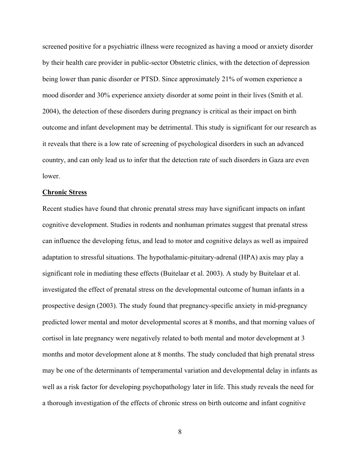screened positive for a psychiatric illness were recognized as having a mood or anxiety disorder by their health care provider in public-sector Obstetric clinics, with the detection of depression being lower than panic disorder or PTSD. Since approximately 21% of women experience a mood disorder and 30% experience anxiety disorder at some point in their lives (Smith et al. 2004), the detection of these disorders during pregnancy is critical as their impact on birth outcome and infant development may be detrimental. This study is significant for our research as it reveals that there is a low rate of screening of psychological disorders in such an advanced country, and can only lead us to infer that the detection rate of such disorders in Gaza are even lower.

#### **Chronic Stress**

Recent studies have found that chronic prenatal stress may have significant impacts on infant cognitive development. Studies in rodents and nonhuman primates suggest that prenatal stress can influence the developing fetus, and lead to motor and cognitive delays as well as impaired adaptation to stressful situations. The hypothalamic-pituitary-adrenal (HPA) axis may play a significant role in mediating these effects (Buitelaar et al. 2003). A study by Buitelaar et al. investigated the effect of prenatal stress on the developmental outcome of human infants in a prospective design (2003). The study found that pregnancy-specific anxiety in mid-pregnancy predicted lower mental and motor developmental scores at 8 months, and that morning values of cortisol in late pregnancy were negatively related to both mental and motor development at 3 months and motor development alone at 8 months. The study concluded that high prenatal stress may be one of the determinants of temperamental variation and developmental delay in infants as well as a risk factor for developing psychopathology later in life. This study reveals the need for a thorough investigation of the effects of chronic stress on birth outcome and infant cognitive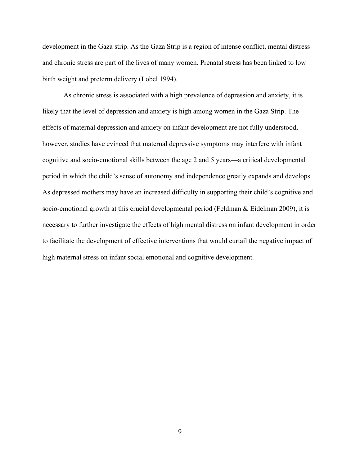development in the Gaza strip. As the Gaza Strip is a region of intense conflict, mental distress and chronic stress are part of the lives of many women. Prenatal stress has been linked to low birth weight and preterm delivery (Lobel 1994).

As chronic stress is associated with a high prevalence of depression and anxiety, it is likely that the level of depression and anxiety is high among women in the Gaza Strip. The effects of maternal depression and anxiety on infant development are not fully understood, however, studies have evinced that maternal depressive symptoms may interfere with infant cognitive and socio-emotional skills between the age 2 and 5 years—a critical developmental period in which the child's sense of autonomy and independence greatly expands and develops. As depressed mothers may have an increased difficulty in supporting their child's cognitive and socio-emotional growth at this crucial developmental period (Feldman & Eidelman 2009), it is necessary to further investigate the effects of high mental distress on infant development in order to facilitate the development of effective interventions that would curtail the negative impact of high maternal stress on infant social emotional and cognitive development.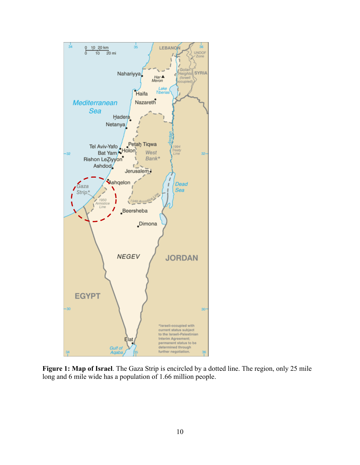

**Figure 1: Map of Israel**. The Gaza Strip is encircled by a dotted line. The region, only 25 mile long and 6 mile wide has a population of 1.66 million people.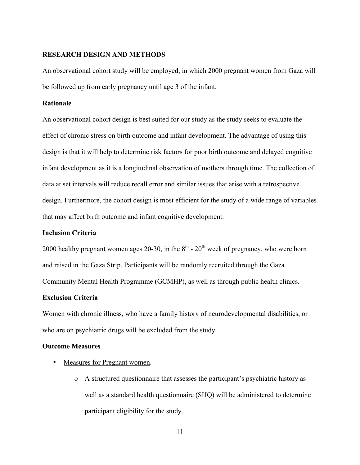### **RESEARCH DESIGN AND METHODS**

An observational cohort study will be employed, in which 2000 pregnant women from Gaza will be followed up from early pregnancy until age 3 of the infant.

# **Rationale**

An observational cohort design is best suited for our study as the study seeks to evaluate the effect of chronic stress on birth outcome and infant development. The advantage of using this design is that it will help to determine risk factors for poor birth outcome and delayed cognitive infant development as it is a longitudinal observation of mothers through time. The collection of data at set intervals will reduce recall error and similar issues that arise with a retrospective design. Furthermore, the cohort design is most efficient for the study of a wide range of variables that may affect birth outcome and infant cognitive development.

# **Inclusion Criteria**

2000 healthy pregnant women ages 20-30, in the  $8<sup>th</sup>$  -  $20<sup>th</sup>$  week of pregnancy, who were born and raised in the Gaza Strip. Participants will be randomly recruited through the Gaza Community Mental Health Programme (GCMHP), as well as through public health clinics.

# **Exclusion Criteria**

Women with chronic illness, who have a family history of neurodevelopmental disabilities, or who are on psychiatric drugs will be excluded from the study.

#### **Outcome Measures**

- Measures for Pregnant women.
	- o A structured questionnaire that assesses the participant's psychiatric history as well as a standard health questionnaire (SHQ) will be administered to determine participant eligibility for the study.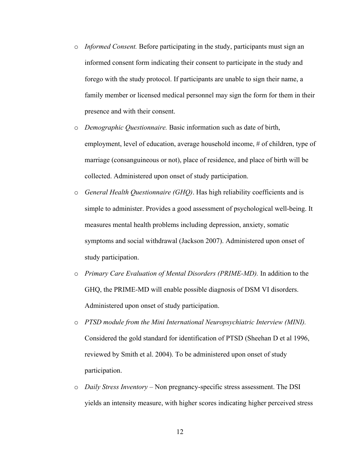- o *Informed Consent.* Before participating in the study, participants must sign an informed consent form indicating their consent to participate in the study and forego with the study protocol. If participants are unable to sign their name, a family member or licensed medical personnel may sign the form for them in their presence and with their consent.
- o *Demographic Questionnaire.* Basic information such as date of birth, employment, level of education, average household income, # of children, type of marriage (consanguineous or not), place of residence, and place of birth will be collected. Administered upon onset of study participation.
- o *General Health Questionnaire (GHQ)*. Has high reliability coefficients and is simple to administer. Provides a good assessment of psychological well-being. It measures mental health problems including depression, anxiety, somatic symptoms and social withdrawal (Jackson 2007). Administered upon onset of study participation.
- o *Primary Care Evaluation of Mental Disorders (PRIME-MD).* In addition to the GHQ, the PRIME-MD will enable possible diagnosis of DSM VI disorders. Administered upon onset of study participation.
- o *PTSD module from the Mini International Neuropsychiatric Interview (MINI).*  Considered the gold standard for identification of PTSD (Sheehan D et al 1996, reviewed by Smith et al. 2004). To be administered upon onset of study participation.
- o *Daily Stress Inventory* Non pregnancy-specific stress assessment. The DSI yields an intensity measure, with higher scores indicating higher perceived stress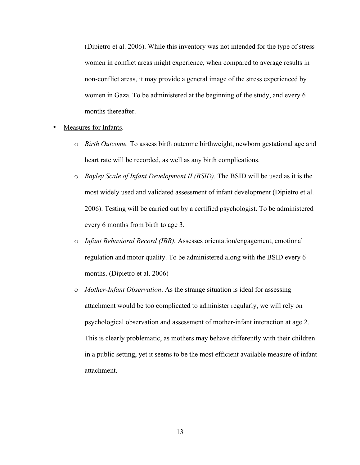(Dipietro et al. 2006). While this inventory was not intended for the type of stress women in conflict areas might experience, when compared to average results in non-conflict areas, it may provide a general image of the stress experienced by women in Gaza. To be administered at the beginning of the study, and every 6 months thereafter.

- Measures for Infants.
	- o *Birth Outcome.* To assess birth outcome birthweight, newborn gestational age and heart rate will be recorded, as well as any birth complications.
	- o *Bayley Scale of Infant Development II (BSID).* The BSID will be used as it is the most widely used and validated assessment of infant development (Dipietro et al. 2006). Testing will be carried out by a certified psychologist. To be administered every 6 months from birth to age 3.
	- o *Infant Behavioral Record (IBR).* Assesses orientation/engagement, emotional regulation and motor quality. To be administered along with the BSID every 6 months. (Dipietro et al. 2006)
	- o *Mother-Infant Observation*. As the strange situation is ideal for assessing attachment would be too complicated to administer regularly, we will rely on psychological observation and assessment of mother-infant interaction at age 2. This is clearly problematic, as mothers may behave differently with their children in a public setting, yet it seems to be the most efficient available measure of infant attachment.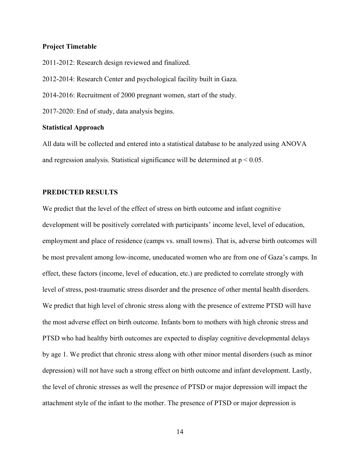# **Project Timetable**

2011-2012: Research design reviewed and finalized. 2012-2014: Research Center and psychological facility built in Gaza. 2014-2016: Recruitment of 2000 pregnant women, start of the study. 2017-2020: End of study, data analysis begins.

# **Statistical Approach**

All data will be collected and entered into a statistical database to be analyzed using ANOVA and regression analysis. Statistical significance will be determined at  $p < 0.05$ .

# **PREDICTED RESULTS**

We predict that the level of the effect of stress on birth outcome and infant cognitive development will be positively correlated with participants' income level, level of education, employment and place of residence (camps vs. small towns). That is, adverse birth outcomes will be most prevalent among low-income, uneducated women who are from one of Gaza's camps. In effect, these factors (income, level of education, etc.) are predicted to correlate strongly with level of stress, post-traumatic stress disorder and the presence of other mental health disorders. We predict that high level of chronic stress along with the presence of extreme PTSD will have the most adverse effect on birth outcome. Infants born to mothers with high chronic stress and PTSD who had healthy birth outcomes are expected to display cognitive developmental delays by age 1. We predict that chronic stress along with other minor mental disorders (such as minor depression) will not have such a strong effect on birth outcome and infant development. Lastly, the level of chronic stresses as well the presence of PTSD or major depression will impact the attachment style of the infant to the mother. The presence of PTSD or major depression is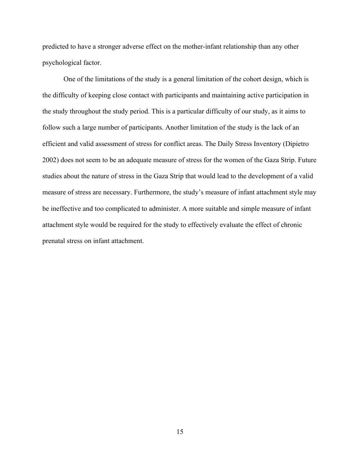predicted to have a stronger adverse effect on the mother-infant relationship than any other psychological factor.

One of the limitations of the study is a general limitation of the cohort design, which is the difficulty of keeping close contact with participants and maintaining active participation in the study throughout the study period. This is a particular difficulty of our study, as it aims to follow such a large number of participants. Another limitation of the study is the lack of an efficient and valid assessment of stress for conflict areas. The Daily Stress Inventory (Dipietro 2002) does not seem to be an adequate measure of stress for the women of the Gaza Strip. Future studies about the nature of stress in the Gaza Strip that would lead to the development of a valid measure of stress are necessary. Furthermore, the study's measure of infant attachment style may be ineffective and too complicated to administer. A more suitable and simple measure of infant attachment style would be required for the study to effectively evaluate the effect of chronic prenatal stress on infant attachment.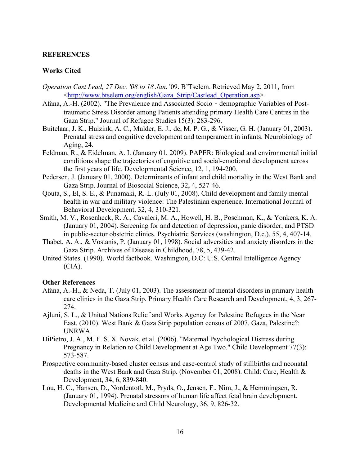# **REFERENCES**

# **Works Cited**

- *Operation Cast Lead, 27 Dec. '08 to 18 Jan*. '09. B'Tselem. Retrieved May 2, 2011, from <http://www.btselem.org/english/Gaza\_Strip/Castlead\_Operation.asp>
- Afana, A.-H. (2002). "The Prevalence and Associated Socio demographic Variables of Posttraumatic Stress Disorder among Patients attending primary Health Care Centres in the Gaza Strip." Journal of Refugee Studies 15(3): 283-296.
- Buitelaar, J. K., Huizink, A. C., Mulder, E. J., de, M. P. G., & Visser, G. H. (January 01, 2003). Prenatal stress and cognitive development and temperament in infants. Neurobiology of Aging, 24.
- Feldman, R., & Eidelman, A. I. (January 01, 2009). PAPER: Biological and environmental initial conditions shape the trajectories of cognitive and social-emotional development across the first years of life. Developmental Science, 12, 1, 194-200.
- Pedersen, J. (January 01, 2000). Determinants of infant and child mortality in the West Bank and Gaza Strip. Journal of Biosocial Science, 32, 4, 527-46.
- Qouta, S., El, S. E., & Punamaki, R.-L. (July 01, 2008). Child development and family mental health in war and military violence: The Palestinian experience. International Journal of Behavioral Development, 32, 4, 310-321.
- Smith, M. V., Rosenheck, R. A., Cavaleri, M. A., Howell, H. B., Poschman, K., & Yonkers, K. A. (January 01, 2004). Screening for and detection of depression, panic disorder, and PTSD in public-sector obstetric clinics. Psychiatric Services (washington, D.c.), 55, 4, 407-14.
- Thabet, A. A., & Vostanis, P. (January 01, 1998). Social adversities and anxiety disorders in the Gaza Strip. Archives of Disease in Childhood, 78, 5, 439-42.
- United States. (1990). World factbook. Washington, D.C: U.S. Central Intelligence Agency  $(CIA)$ .

# **Other References**

- Afana, A.-H., & Neda, T. (July 01, 2003). The assessment of mental disorders in primary health care clinics in the Gaza Strip. Primary Health Care Research and Development, 4, 3, 267- 274.
- Ajluni, S. L., & United Nations Relief and Works Agency for Palestine Refugees in the Near East. (2010). West Bank & Gaza Strip population census of 2007. Gaza, Palestine?: UNRWA.
- DiPietro, J. A., M. F. S. X. Novak, et al. (2006). "Maternal Psychological Distress during Pregnancy in Relation to Child Development at Age Two." Child Development 77(3): 573-587.
- Prospective community-based cluster census and case-control study of stillbirths and neonatal deaths in the West Bank and Gaza Strip. (November 01, 2008). Child: Care, Health & Development, 34, 6, 839-840.
- Lou, H. C., Hansen, D., Nordentoft, M., Pryds, O., Jensen, F., Nim, J., & Hemmingsen, R. (January 01, 1994). Prenatal stressors of human life affect fetal brain development. Developmental Medicine and Child Neurology, 36, 9, 826-32.